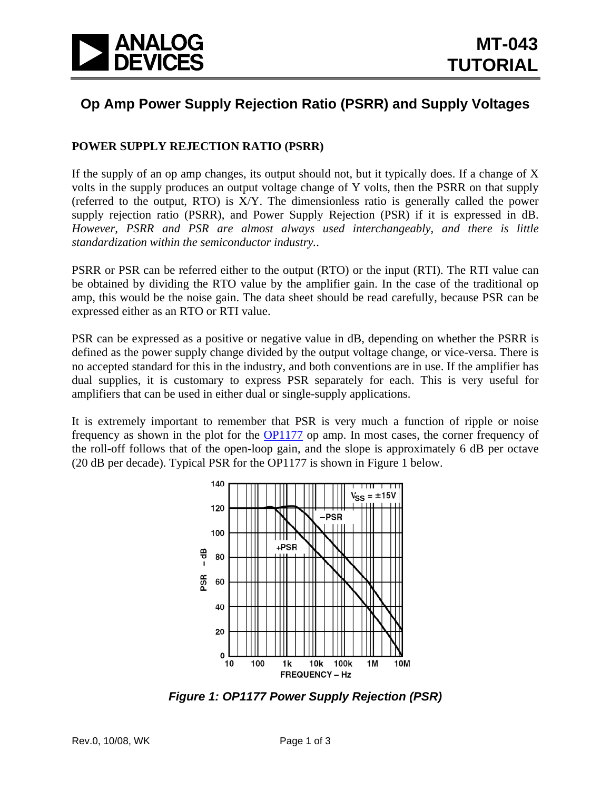

# **Op Amp Power Supply Rejection Ratio (PSRR) and Supply Voltages**

# **POWER SUPPLY REJECTION RATIO (PSRR)**

If the supply of an op amp changes, its output should not, but it typically does. If a change of X volts in the supply produces an output voltage change of Y volts, then the PSRR on that supply (referred to the output, RTO) is X/Y. The dimensionless ratio is generally called the power supply rejection ratio (PSRR), and Power Supply Rejection (PSR) if it is expressed in dB. *However, PSRR and PSR are almost always used interchangeably, and there is little standardization within the semiconductor industry.*.

PSRR or PSR can be referred either to the output (RTO) or the input (RTI). The RTI value can be obtained by dividing the RTO value by the amplifier gain. In the case of the traditional op amp, this would be the noise gain. The data sheet should be read carefully, because PSR can be expressed either as an RTO or RTI value.

PSR can be expressed as a positive or negative value in dB, depending on whether the PSRR is defined as the power supply change divided by the output voltage change, or vice-versa. There is no accepted standard for this in the industry, and both conventions are in use. If the amplifier has dual supplies, it is customary to express PSR separately for each. This is very useful for amplifiers that can be used in either dual or single-supply applications.

It is extremely important to remember that PSR is very much a function of ripple or noise frequency as shown in the plot for the [OP1177](http://www.analog.com/en/amplifiers-and-comparators/operational-amplifiers-op-amps/op1177/products/product.html) op amp. In most cases, the corner frequency of the roll-off follows that of the open-loop gain, and the slope is approximately 6 dB per octave (20 dB per decade). Typical PSR for the OP1177 is shown in Figure 1 below.



*Figure 1: OP1177 Power Supply Rejection (PSR)*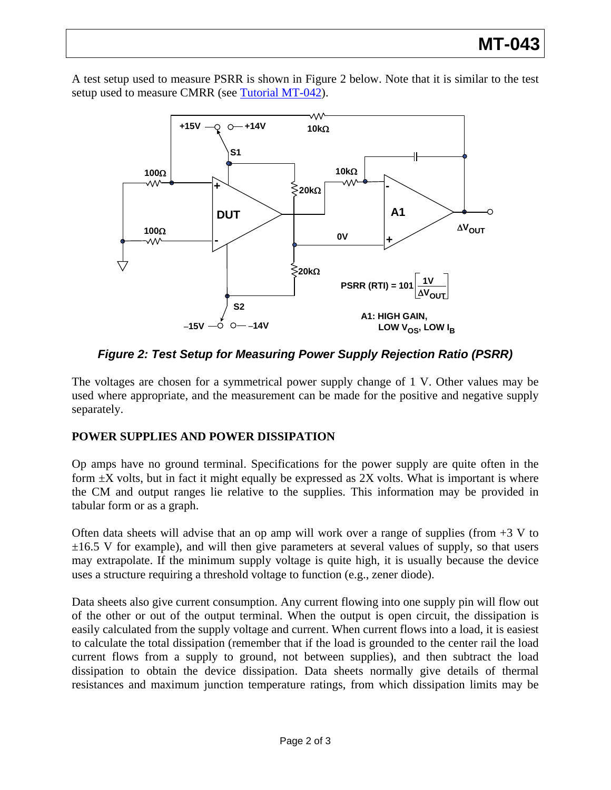A test setup used to measure PSRR is shown in Figure 2 below. Note that it is similar to the test setup used to measure CMRR (see [Tutorial MT-042](http://www.analog.com/static/imported-files/tutorials/MT-042.pdf)).



*Figure 2: Test Setup for Measuring Power Supply Rejection Ratio (PSRR)* 

The voltages are chosen for a symmetrical power supply change of 1 V. Other values may be used where appropriate, and the measurement can be made for the positive and negative supply separately.

# **POWER SUPPLIES AND POWER DISSIPATION**

Op amps have no ground terminal. Specifications for the power supply are quite often in the form  $\pm X$  volts, but in fact it might equally be expressed as 2X volts. What is important is where the CM and output ranges lie relative to the supplies. This information may be provided in tabular form or as a graph.

Often data sheets will advise that an op amp will work over a range of supplies (from  $+3$  V to  $\pm 16.5$  V for example), and will then give parameters at several values of supply, so that users may extrapolate. If the minimum supply voltage is quite high, it is usually because the device uses a structure requiring a threshold voltage to function (e.g., zener diode).

Data sheets also give current consumption. Any current flowing into one supply pin will flow out of the other or out of the output terminal. When the output is open circuit, the dissipation is easily calculated from the supply voltage and current. When current flows into a load, it is easiest to calculate the total dissipation (remember that if the load is grounded to the center rail the load current flows from a supply to ground, not between supplies), and then subtract the load dissipation to obtain the device dissipation. Data sheets normally give details of thermal resistances and maximum junction temperature ratings, from which dissipation limits may be